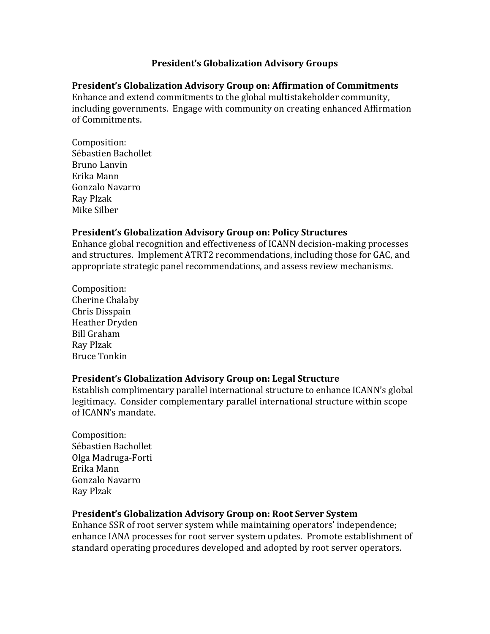## **President's Globalization Advisory Groups**

## **President's Globalization Advisory Group on: Affirmation of Commitments**

Enhance and extend commitments to the global multistakeholder community, including governments. Engage with community on creating enhanced Affirmation of Commitments.

Composition: Sébastien Bachollet Bruno Lanvin Erika Mann Gonzalo Navarro Ray Plzak Mike Silber

## **President's Globalization Advisory Group on: Policy Structures**

Enhance global recognition and effectiveness of ICANN decision-making processes and structures. Implement ATRT2 recommendations, including those for GAC, and appropriate strategic panel recommendations, and assess review mechanisms.

Composition: Cherine Chalaby Chris Disspain Heather Dryden Bill Graham Ray Plzak Bruce Tonkin

## **President's Globalization Advisory Group on: Legal Structure**

Establish complimentary parallel international structure to enhance ICANN's global legitimacy. Consider complementary parallel international structure within scope of ICANN's mandate.

Composition: Sébastien Bachollet Olga Madruga-Forti Erika Mann Gonzalo Navarro Ray Plzak

# **President's Globalization Advisory Group on: Root Server System**

Enhance SSR of root server system while maintaining operators' independence; enhance IANA processes for root server system updates. Promote establishment of standard operating procedures developed and adopted by root server operators.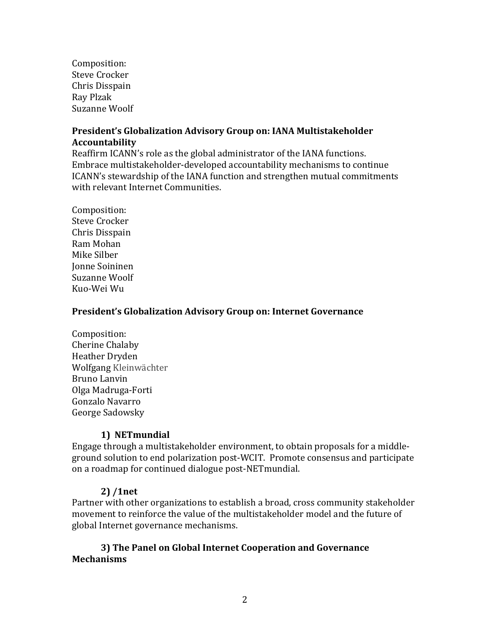Composition: Steve Crocker Chris Disspain Ray Plzak Suzanne Woolf

## **President's Globalization Advisory Group on: IANA Multistakeholder Accountability**

Reaffirm ICANN's role as the global administrator of the IANA functions. Embrace multistakeholder-developed accountability mechanisms to continue ICANN's stewardship of the IANA function and strengthen mutual commitments with relevant Internet Communities.

Composition: Steve Crocker Chris Disspain Ram Mohan Mike Silber Jonne Soininen Suzanne Woolf Kuo-Wei Wu

#### **President's Globalization Advisory Group on: Internet Governance**

Composition: Cherine Chalaby Heather Dryden Wolfgang Kleinwächter Bruno Lanvin Olga Madruga-Forti Gonzalo Navarro George Sadowsky

## **1) NETmundial**

Engage through a multistakeholder environment, to obtain proposals for a middleground solution to end polarization post-WCIT. Promote consensus and participate on a roadmap for continued dialogue post-NETmundial.

## **2) /1net**

Partner with other organizations to establish a broad, cross community stakeholder movement to reinforce the value of the multistakeholder model and the future of global Internet governance mechanisms.

#### **3) The Panel on Global Internet Cooperation and Governance Mechanisms**